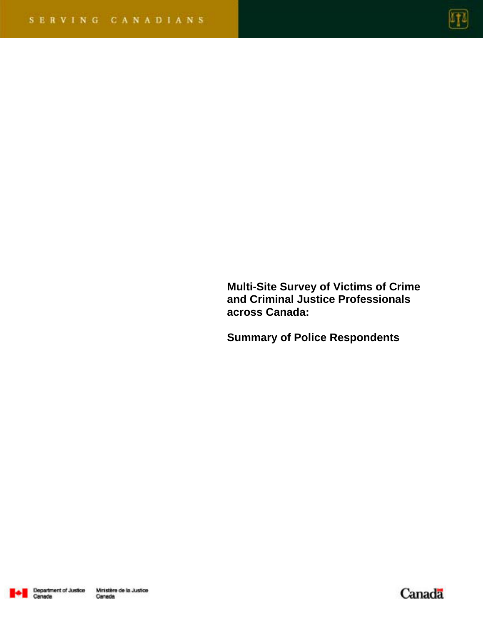

**Multi-Site Survey of Victims of Crime and Criminal Justice Professionals across Canada:** 

**Summary of Police Respondents** 



Canada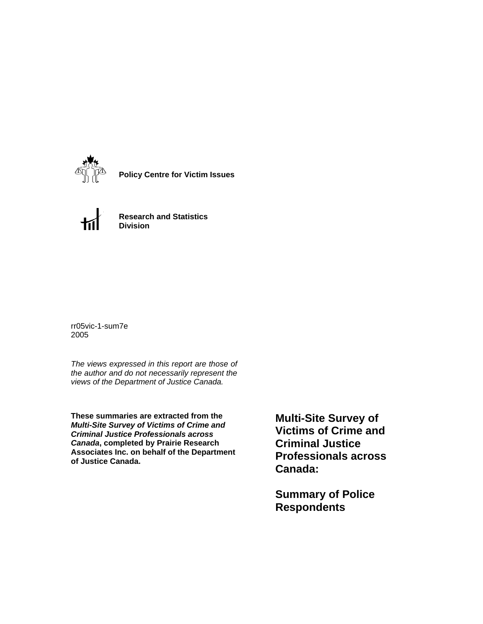

**Policy Centre for Victim Issues**



**Research and Statistics Division**

rr05vic-1-sum7e 2005

*The views expressed in this report are those of the author and do not necessarily represent the views of the Department of Justice Canada.*

**These summaries are extracted from the**  *Multi-Site Survey of Victims of Crime and Criminal Justice Professionals across Canada***, completed by Prairie Research Associates Inc. on behalf of the Department of Justice Canada.**

**Multi-Site Survey of Victims of Crime and Criminal Justice Professionals across Canada:** 

**Summary of Police Respondents**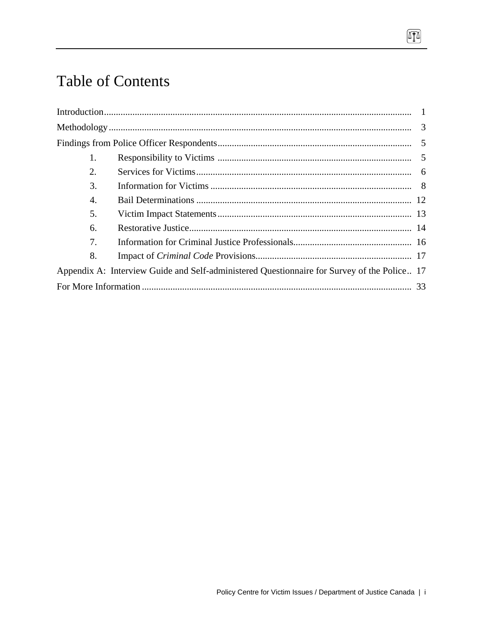# **Table of Contents**

| 1.                    |                                                                                             |  |
|-----------------------|---------------------------------------------------------------------------------------------|--|
| 2.                    |                                                                                             |  |
| 3.                    |                                                                                             |  |
| $\mathcal{A}_{\cdot}$ |                                                                                             |  |
| 5.                    |                                                                                             |  |
| 6.                    |                                                                                             |  |
| 7.                    |                                                                                             |  |
| 8.                    |                                                                                             |  |
|                       | Appendix A: Interview Guide and Self-administered Questionnaire for Survey of the Police 17 |  |
|                       |                                                                                             |  |

 $\boxed{1}$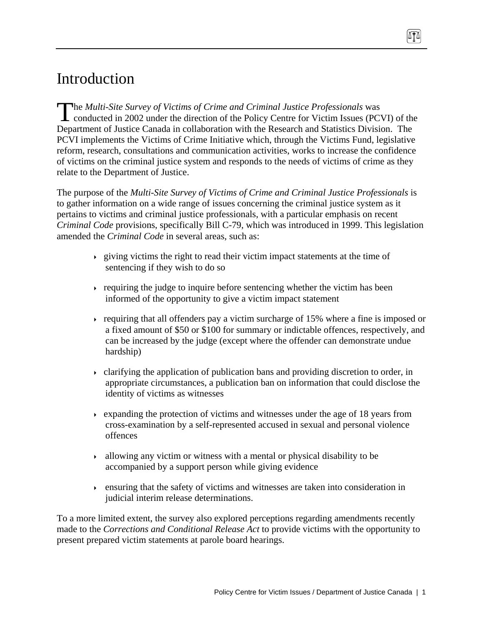# Introduction

**The Multi-Site Survey of Victims of Crime and Criminal Justice Professionals was** The Multi-Site Survey of Victims of Crime and Criminal Justice Professionals was<br>conducted in 2002 under the direction of the Policy Centre for Victim Issues (PCVI) of the Department of Justice Canada in collaboration with the Research and Statistics Division. The PCVI implements the Victims of Crime Initiative which, through the Victims Fund, legislative reform, research, consultations and communication activities, works to increase the confidence of victims on the criminal justice system and responds to the needs of victims of crime as they relate to the Department of Justice.

The purpose of the *Multi-Site Survey of Victims of Crime and Criminal Justice Professionals* is to gather information on a wide range of issues concerning the criminal justice system as it pertains to victims and criminal justice professionals, with a particular emphasis on recent *Criminal Code* provisions, specifically Bill C-79, which was introduced in 1999. This legislation amended the *Criminal Code* in several areas, such as:

- $\rightarrow$  giving victims the right to read their victim impact statements at the time of sentencing if they wish to do so
- requiring the judge to inquire before sentencing whether the victim has been informed of the opportunity to give a victim impact statement
- requiring that all offenders pay a victim surcharge of  $15\%$  where a fine is imposed or a fixed amount of \$50 or \$100 for summary or indictable offences, respectively, and can be increased by the judge (except where the offender can demonstrate undue hardship)
- clarifying the application of publication bans and providing discretion to order, in appropriate circumstances, a publication ban on information that could disclose the identity of victims as witnesses
- expanding the protection of victims and witnesses under the age of 18 years from cross-examination by a self-represented accused in sexual and personal violence offences
- $\rightarrow$  allowing any victim or witness with a mental or physical disability to be accompanied by a support person while giving evidence
- ensuring that the safety of victims and witnesses are taken into consideration in judicial interim release determinations.

To a more limited extent, the survey also explored perceptions regarding amendments recently made to the *Corrections and Conditional Release Act* to provide victims with the opportunity to present prepared victim statements at parole board hearings.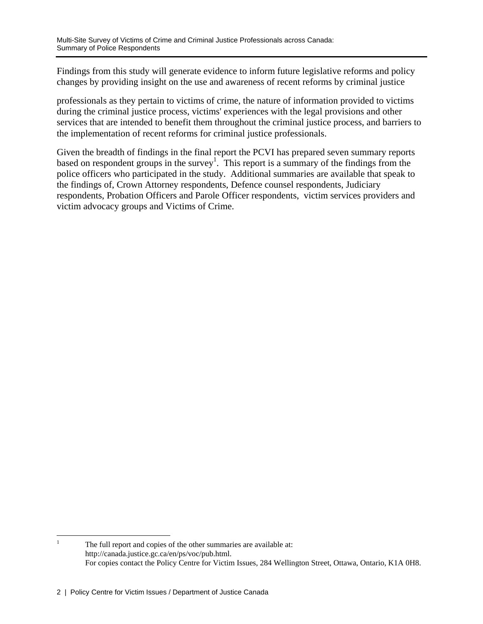Findings from this study will generate evidence to inform future legislative reforms and policy changes by providing insight on the use and awareness of recent reforms by criminal justice

professionals as they pertain to victims of crime, the nature of information provided to victims during the criminal justice process, victims' experiences with the legal provisions and other services that are intended to benefit them throughout the criminal justice process, and barriers to the implementation of recent reforms for criminal justice professionals.

Given the breadth of findings in the final report the PCVI has prepared seven summary reports based on respondent groups in the survey<sup>1</sup>. This report is a summary of the findings from the police officers who participated in the study. Additional summaries are available that speak to the findings of, Crown Attorney respondents, Defence counsel respondents, Judiciary respondents, Probation Officers and Parole Officer respondents, victim services providers and victim advocacy groups and Victims of Crime.

 $\frac{1}{1}$  The full report and copies of the other summaries are available at: http://canada.justice.gc.ca/en/ps/voc/pub.html. For copies contact the Policy Centre for Victim Issues, 284 Wellington Street, Ottawa, Ontario, K1A 0H8.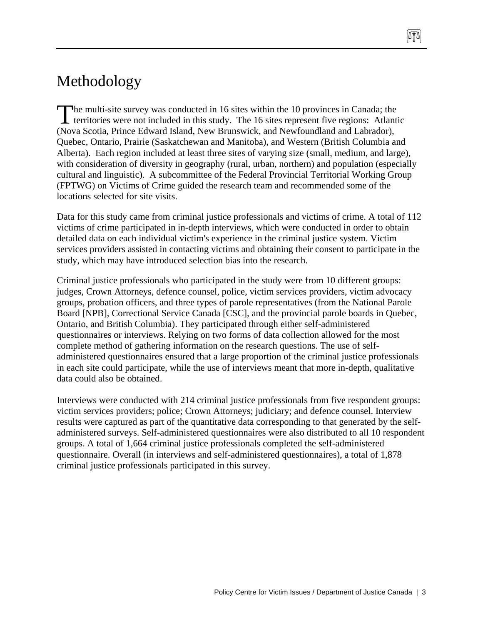# Methodology

he multi-site survey was conducted in 16 sites within the 10 provinces in Canada; the The multi-site survey was conducted in 16 sites within the 10 provinces in Canada; the territories were not included in this study. The 16 sites represent five regions: Atlantic (Nova Scotia, Prince Edward Island, New Brunswick, and Newfoundland and Labrador), Quebec, Ontario, Prairie (Saskatchewan and Manitoba), and Western (British Columbia and Alberta). Each region included at least three sites of varying size (small, medium, and large), with consideration of diversity in geography (rural, urban, northern) and population (especially cultural and linguistic). A subcommittee of the Federal Provincial Territorial Working Group (FPTWG) on Victims of Crime guided the research team and recommended some of the locations selected for site visits.

Data for this study came from criminal justice professionals and victims of crime. A total of 112 victims of crime participated in in-depth interviews, which were conducted in order to obtain detailed data on each individual victim's experience in the criminal justice system. Victim services providers assisted in contacting victims and obtaining their consent to participate in the study, which may have introduced selection bias into the research.

Criminal justice professionals who participated in the study were from 10 different groups: judges, Crown Attorneys, defence counsel, police, victim services providers, victim advocacy groups, probation officers, and three types of parole representatives (from the National Parole Board [NPB], Correctional Service Canada [CSC], and the provincial parole boards in Quebec, Ontario, and British Columbia). They participated through either self-administered questionnaires or interviews. Relying on two forms of data collection allowed for the most complete method of gathering information on the research questions. The use of selfadministered questionnaires ensured that a large proportion of the criminal justice professionals in each site could participate, while the use of interviews meant that more in-depth, qualitative data could also be obtained.

Interviews were conducted with 214 criminal justice professionals from five respondent groups: victim services providers; police; Crown Attorneys; judiciary; and defence counsel. Interview results were captured as part of the quantitative data corresponding to that generated by the selfadministered surveys. Self-administered questionnaires were also distributed to all 10 respondent groups. A total of 1,664 criminal justice professionals completed the self-administered questionnaire. Overall (in interviews and self-administered questionnaires), a total of 1,878 criminal justice professionals participated in this survey.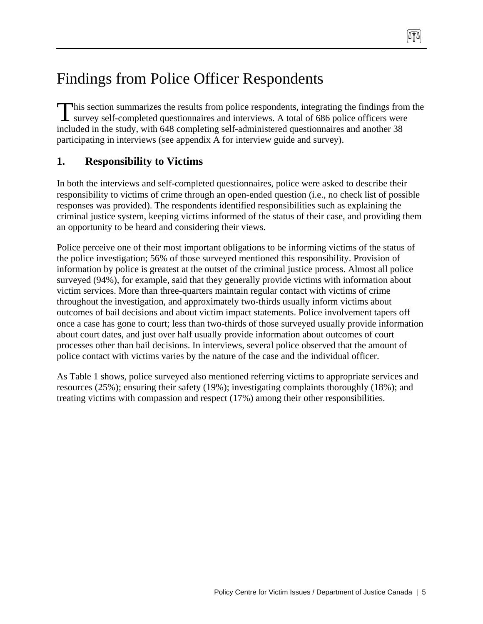# Findings from Police Officer Respondents

This section summarizes the results from police respondents, integrating the findings from the survey self-completed questionnaires and interviews. A total of 686 police officers were **L** survey self-completed questionnaires and interviews. A total of 686 police officers were included in the study, with 648 completing self-administered questionnaires and another 38 participating in interviews (see appendix A for interview guide and survey).

0TA

## **1. Responsibility to Victims**

In both the interviews and self-completed questionnaires, police were asked to describe their responsibility to victims of crime through an open-ended question (i.e., no check list of possible responses was provided). The respondents identified responsibilities such as explaining the criminal justice system, keeping victims informed of the status of their case, and providing them an opportunity to be heard and considering their views.

Police perceive one of their most important obligations to be informing victims of the status of the police investigation; 56% of those surveyed mentioned this responsibility. Provision of information by police is greatest at the outset of the criminal justice process. Almost all police surveyed (94%), for example, said that they generally provide victims with information about victim services. More than three-quarters maintain regular contact with victims of crime throughout the investigation, and approximately two-thirds usually inform victims about outcomes of bail decisions and about victim impact statements. Police involvement tapers off once a case has gone to court; less than two-thirds of those surveyed usually provide information about court dates, and just over half usually provide information about outcomes of court processes other than bail decisions. In interviews, several police observed that the amount of police contact with victims varies by the nature of the case and the individual officer.

As Table 1 shows, police surveyed also mentioned referring victims to appropriate services and resources (25%); ensuring their safety (19%); investigating complaints thoroughly (18%); and treating victims with compassion and respect (17%) among their other responsibilities.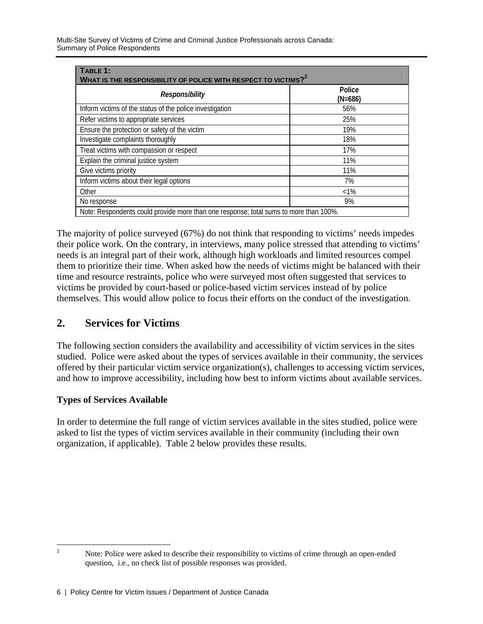| TABLE 1:<br>WHAT IS THE RESPONSIBILITY OF POLICE WITH RESPECT TO VICTIMS? <sup>2</sup> |                     |  |  |
|----------------------------------------------------------------------------------------|---------------------|--|--|
| Responsibility                                                                         | Police<br>$(N=686)$ |  |  |
| Inform victims of the status of the police investigation                               | 56%                 |  |  |
| Refer victims to appropriate services                                                  | 25%                 |  |  |
| Ensure the protection or safety of the victim                                          | 19%                 |  |  |
| Investigate complaints thoroughly                                                      | 18%                 |  |  |
| Treat victims with compassion or respect                                               | 17%                 |  |  |
| Explain the criminal justice system                                                    | 11%                 |  |  |
| Give victims priority                                                                  | 11%                 |  |  |
| Inform victims about their legal options                                               | 7%                  |  |  |
| Other                                                                                  | $<1\%$              |  |  |
| No response                                                                            | 9%                  |  |  |
| Note: Respondents could provide more than one response; total sums to more than 100%.  |                     |  |  |

The majority of police surveyed (67%) do not think that responding to victims' needs impedes their police work. On the contrary, in interviews, many police stressed that attending to victims' needs is an integral part of their work, although high workloads and limited resources compel them to prioritize their time. When asked how the needs of victims might be balanced with their time and resource restraints, police who were surveyed most often suggested that services to victims be provided by court-based or police-based victim services instead of by police themselves. This would allow police to focus their efforts on the conduct of the investigation.

## **2. Services for Victims**

The following section considers the availability and accessibility of victim services in the sites studied. Police were asked about the types of services available in their community, the services offered by their particular victim service organization(s), challenges to accessing victim services, and how to improve accessibility, including how best to inform victims about available services.

### **Types of Services Available**

In order to determine the full range of victim services available in the sites studied, police were asked to list the types of victim services available in their community (including their own organization, if applicable). Table 2 below provides these results.

 $\frac{1}{2}$  Note: Police were asked to describe their responsibility to victims of crime through an open-ended question, i.e., no check list of possible responses was provided.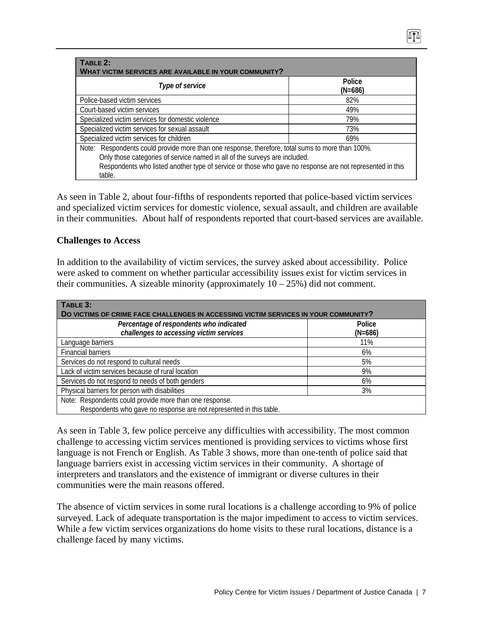| TABLE 2:<br>WHAT VICTIM SERVICES ARE AVAILABLE IN YOUR COMMUNITY?                                                                                                                                                                                                                                    |                     |  |  |
|------------------------------------------------------------------------------------------------------------------------------------------------------------------------------------------------------------------------------------------------------------------------------------------------------|---------------------|--|--|
| Type of service                                                                                                                                                                                                                                                                                      | Police<br>$(N=686)$ |  |  |
| Police-based victim services                                                                                                                                                                                                                                                                         | 82%                 |  |  |
| Court-based victim services                                                                                                                                                                                                                                                                          | 49%                 |  |  |
| Specialized victim services for domestic violence                                                                                                                                                                                                                                                    | 79%                 |  |  |
| Specialized victim services for sexual assault                                                                                                                                                                                                                                                       | 73%                 |  |  |
| Specialized victim services for children                                                                                                                                                                                                                                                             | 69%                 |  |  |
| Note: Respondents could provide more than one response, therefore, total sums to more than 100%.<br>Only those categories of service named in all of the surveys are included.<br>Respondents who listed another type of service or those who gave no response are not represented in this<br>table. |                     |  |  |

As seen in Table 2, about four-fifths of respondents reported that police-based victim services and specialized victim services for domestic violence, sexual assault, and children are available in their communities. About half of respondents reported that court-based services are available.

### **Challenges to Access**

In addition to the availability of victim services, the survey asked about accessibility. Police were asked to comment on whether particular accessibility issues exist for victim services in their communities. A sizeable minority (approximately  $10 - 25\%$ ) did not comment.

| TABLE 3:<br>DO VICTIMS OF CRIME FACE CHALLENGES IN ACCESSING VICTIM SERVICES IN YOUR COMMUNITY? |           |  |
|-------------------------------------------------------------------------------------------------|-----------|--|
| Percentage of respondents who indicated                                                         | Police    |  |
| challenges to accessing victim services                                                         | $(N=686)$ |  |
| Language barriers                                                                               | 11%       |  |
| <b>Financial barriers</b>                                                                       | 6%        |  |
| Services do not respond to cultural needs                                                       | 5%        |  |
| Lack of victim services because of rural location                                               | 9%        |  |
| Services do not respond to needs of both genders                                                | 6%        |  |
| Physical barriers for person with disabilities                                                  | 3%        |  |
| Note: Respondents could provide more than one response.                                         |           |  |
| Respondents who gave no response are not represented in this table.                             |           |  |

As seen in Table 3, few police perceive any difficulties with accessibility. The most common challenge to accessing victim services mentioned is providing services to victims whose first language is not French or English. As Table 3 shows, more than one-tenth of police said that language barriers exist in accessing victim services in their community. A shortage of interpreters and translators and the existence of immigrant or diverse cultures in their communities were the main reasons offered.

The absence of victim services in some rural locations is a challenge according to 9% of police surveyed. Lack of adequate transportation is the major impediment to access to victim services. While a few victim services organizations do home visits to these rural locations, distance is a challenge faced by many victims.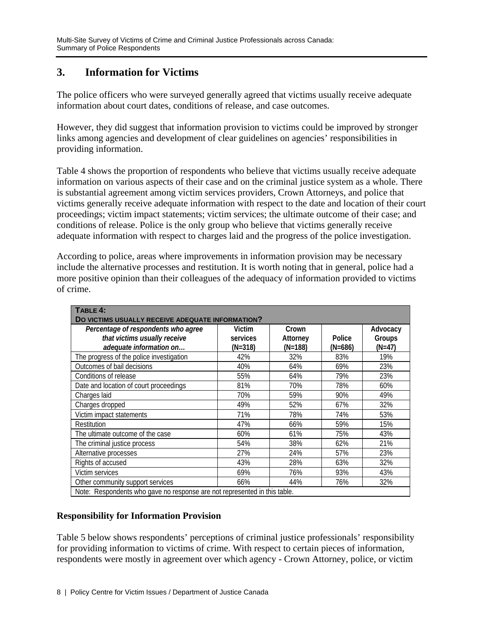## **3. Information for Victims**

The police officers who were surveyed generally agreed that victims usually receive adequate information about court dates, conditions of release, and case outcomes.

However, they did suggest that information provision to victims could be improved by stronger links among agencies and development of clear guidelines on agencies' responsibilities in providing information.

Table 4 shows the proportion of respondents who believe that victims usually receive adequate information on various aspects of their case and on the criminal justice system as a whole. There is substantial agreement among victim services providers, Crown Attorneys, and police that victims generally receive adequate information with respect to the date and location of their court proceedings; victim impact statements; victim services; the ultimate outcome of their case; and conditions of release. Police is the only group who believe that victims generally receive adequate information with respect to charges laid and the progress of the police investigation.

According to police, areas where improvements in information provision may be necessary include the alternative processes and restitution. It is worth noting that in general, police had a more positive opinion than their colleagues of the adequacy of information provided to victims of crime.

| TABLE 4:<br>DO VICTIMS USUALLY RECEIVE ADEQUATE INFORMATION?                                   |                               |                                |                     |                              |
|------------------------------------------------------------------------------------------------|-------------------------------|--------------------------------|---------------------|------------------------------|
| Percentage of respondents who agree<br>that victims usually receive<br>adequate information on | Victim<br>services<br>(N=318) | Crown<br>Attorney<br>$(N=188)$ | Police<br>$(N=686)$ | Advocacy<br>Groups<br>(N=47) |
| The progress of the police investigation                                                       | 42%                           | 32%                            | 83%                 | 19%                          |
| Outcomes of bail decisions                                                                     | 40%                           | 64%                            | 69%                 | 23%                          |
| Conditions of release                                                                          | 55%                           | 64%                            | 79%                 | 23%                          |
| Date and location of court proceedings                                                         | 81%                           | 70%                            | 78%                 | 60%                          |
| Charges laid                                                                                   | 70%                           | 59%                            | 90%                 | 49%                          |
| Charges dropped                                                                                | 49%                           | 52%                            | 67%                 | 32%                          |
| Victim impact statements                                                                       | 71%                           | 78%                            | 74%                 | 53%                          |
| Restitution                                                                                    | 47%                           | 66%                            | 59%                 | 15%                          |
| The ultimate outcome of the case                                                               | 60%                           | 61%                            | 75%                 | 43%                          |
| The criminal justice process                                                                   | 54%                           | 38%                            | 62%                 | 21%                          |
| Alternative processes                                                                          | 27%                           | 24%                            | 57%                 | 23%                          |
| Rights of accused                                                                              | 43%                           | 28%                            | 63%                 | 32%                          |
| Victim services                                                                                | 69%                           | 76%                            | 93%                 | 43%                          |
| Other community support services                                                               | 66%                           | 44%                            | 76%                 | 32%                          |
| Note: Respondents who gave no response are not represented in this table.                      |                               |                                |                     |                              |

### **Responsibility for Information Provision**

Table 5 below shows respondents' perceptions of criminal justice professionals' responsibility for providing information to victims of crime. With respect to certain pieces of information, respondents were mostly in agreement over which agency - Crown Attorney, police, or victim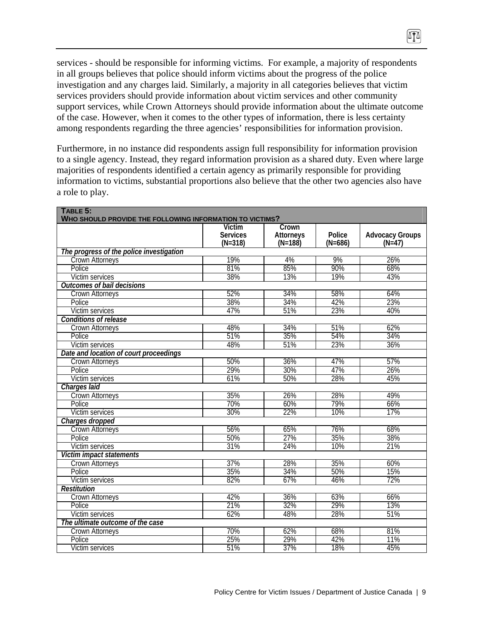services - should be responsible for informing victims. For example, a majority of respondents in all groups believes that police should inform victims about the progress of the police investigation and any charges laid. Similarly, a majority in all categories believes that victim services providers should provide information about victim services and other community support services, while Crown Attorneys should provide information about the ultimate outcome of the case. However, when it comes to the other types of information, there is less certainty among respondents regarding the three agencies' responsibilities for information provision.

Furthermore, in no instance did respondents assign full responsibility for information provision to a single agency. Instead, they regard information provision as a shared duty. Even where large majorities of respondents identified a certain agency as primarily responsible for providing information to victims, substantial proportions also believe that the other two agencies also have a role to play.

| TABLE 5:<br>WHO SHOULD PROVIDE THE FOLLOWING INFORMATION TO VICTIMS? |                              |                               |                     |                                    |
|----------------------------------------------------------------------|------------------------------|-------------------------------|---------------------|------------------------------------|
|                                                                      | <b>Victim</b>                | Crown                         |                     |                                    |
|                                                                      | <b>Services</b><br>$(N=318)$ | <b>Attorneys</b><br>$(N=188)$ | Police<br>$(N=686)$ | <b>Advocacy Groups</b><br>$(N=47)$ |
| The progress of the police investigation                             |                              |                               |                     |                                    |
| Crown Attorneys                                                      | 19%                          | 4%                            | 9%                  | 26%                                |
| Police                                                               | 81%                          | 85%                           | 90%                 | 68%                                |
| Victim services                                                      | 38%                          | 13%                           | 19%                 | 43%                                |
| <b>Outcomes of bail decisions</b>                                    |                              |                               |                     |                                    |
| Crown Attorneys                                                      | 52%                          | 34%                           | 58%                 | 64%                                |
| Police                                                               | 38%                          | 34%                           | 42%                 | 23%                                |
| Victim services                                                      | 47%                          | 51%                           | 23%                 | 40%                                |
| Conditions of release                                                |                              |                               |                     |                                    |
| <b>Crown Attorneys</b>                                               | 48%                          | 34%                           | 51%                 | 62%                                |
| Police                                                               | 51%                          | 35%                           | 54%                 | 34%                                |
| Victim services                                                      | 48%                          | 51%                           | 23%                 | 36%                                |
| Date and location of court proceedings                               |                              |                               |                     |                                    |
| <b>Crown Attorneys</b>                                               | 50%                          | 36%                           | 47%                 | 57%                                |
| Police                                                               | 29%                          | 30%                           | 47%                 | 26%                                |
| Victim services                                                      | 61%                          | 50%                           | 28%                 | 45%                                |
| Charges laid                                                         |                              |                               |                     |                                    |
| <b>Crown Attorneys</b>                                               | 35%                          | 26%                           | 28%                 | 49%                                |
| Police                                                               | 70%                          | 60%                           | 79%                 | 66%                                |
| <b>Victim services</b>                                               | 30%                          | 22%                           | 10%                 | 17%                                |
| Charges dropped                                                      |                              |                               |                     |                                    |
| <b>Crown Attorneys</b>                                               | 56%                          | 65%                           | 76%                 | 68%                                |
| Police                                                               | 50%                          | 27%                           | 35%                 | 38%                                |
| Victim services                                                      | 31%                          | 24%                           | 10%                 | 21%                                |
| Victim impact statements                                             |                              |                               |                     |                                    |
| Crown Attorneys                                                      | 37%                          | 28%                           | 35%                 | 60%                                |
| Police                                                               | 35%                          | 34%                           | 50%                 | 15%                                |
| <b>Victim services</b>                                               | 82%                          | 67%                           | 46%                 | 72%                                |
| <b>Restitution</b>                                                   |                              |                               |                     |                                    |
| <b>Crown Attorneys</b>                                               | 42%                          | 36%                           | 63%                 | 66%                                |
| Police                                                               | 21%                          | 32%                           | 29%                 | 13%                                |
| <b>Victim services</b>                                               | 62%                          | 48%                           | 28%                 | 51%                                |
| The ultimate outcome of the case                                     |                              |                               |                     |                                    |
| <b>Crown Attorneys</b>                                               | 70%                          | 62%                           | 68%                 | 81%                                |
| Police                                                               | 25%                          | 29%                           | 42%                 | 11%                                |
| Victim services                                                      | 51%                          | 37%                           | 18%                 | 45%                                |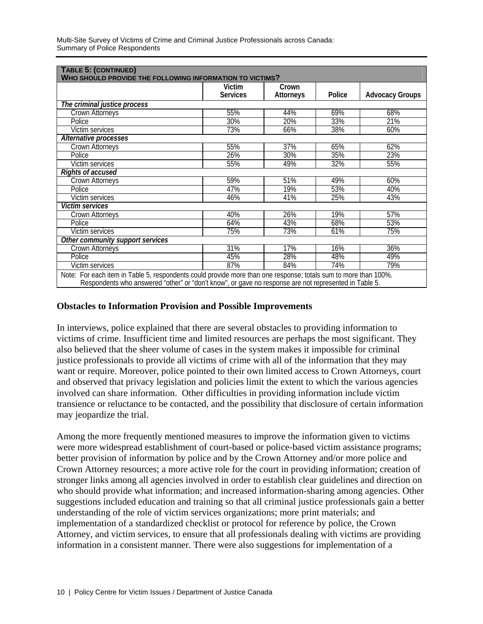|                                  | Victim<br><b>Services</b> | Crown<br>Attorneys | Police | <b>Advocacy Groups</b> |
|----------------------------------|---------------------------|--------------------|--------|------------------------|
| The criminal justice process     |                           |                    |        |                        |
| <b>Crown Attorneys</b>           | 55%                       | 44%                | 69%    | 68%                    |
| Police                           | 30%                       | 20%                | 33%    | 21%                    |
| <b>Victim services</b>           | 73%                       | 66%                | 38%    | 60%                    |
| Alternative processes            |                           |                    |        |                        |
| <b>Crown Attorneys</b>           | 55%                       | 37%                | 65%    | 62%                    |
| Police                           | 26%                       | 30%                | 35%    | 23%                    |
| Victim services                  | 55%                       | 49%                | 32%    | 55%                    |
| <b>Rights of accused</b>         |                           |                    |        |                        |
| <b>Crown Attorneys</b>           | 59%                       | 51%                | 49%    | 60%                    |
| Police                           | 47%                       | 19%                | 53%    | 40%                    |
| Victim services                  | 46%                       | 41%                | 25%    | 43%                    |
| Victim services                  |                           |                    |        |                        |
| Crown Attorneys                  | 40%                       | 26%                | 19%    | 57%                    |
| Police                           | 64%                       | 43%                | 68%    | 53%                    |
| Victim services                  | 75%                       | 73%                | 61%    | 75%                    |
| Other community support services |                           |                    |        |                        |
| <b>Crown Attorneys</b>           | 31%                       | 17%                | 16%    | 36%                    |
| Police                           | 45%                       | 28%                | 48%    | 49%                    |
| Victim services                  | 87%                       | 84%                | 74%    | 79%                    |

### **Obstacles to Information Provision and Possible Improvements**

In interviews, police explained that there are several obstacles to providing information to victims of crime. Insufficient time and limited resources are perhaps the most significant. They also believed that the sheer volume of cases in the system makes it impossible for criminal justice professionals to provide all victims of crime with all of the information that they may want or require. Moreover, police pointed to their own limited access to Crown Attorneys, court and observed that privacy legislation and policies limit the extent to which the various agencies involved can share information. Other difficulties in providing information include victim transience or reluctance to be contacted, and the possibility that disclosure of certain information may jeopardize the trial.

Among the more frequently mentioned measures to improve the information given to victims were more widespread establishment of court-based or police-based victim assistance programs; better provision of information by police and by the Crown Attorney and/or more police and Crown Attorney resources; a more active role for the court in providing information; creation of stronger links among all agencies involved in order to establish clear guidelines and direction on who should provide what information; and increased information-sharing among agencies. Other suggestions included education and training so that all criminal justice professionals gain a better understanding of the role of victim services organizations; more print materials; and implementation of a standardized checklist or protocol for reference by police, the Crown Attorney, and victim services, to ensure that all professionals dealing with victims are providing information in a consistent manner. There were also suggestions for implementation of a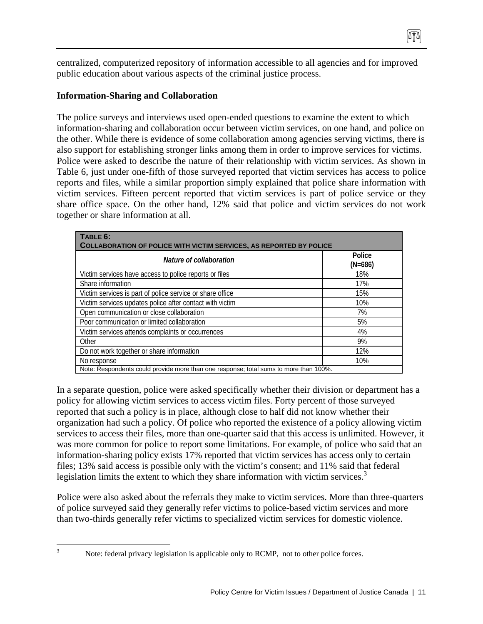centralized, computerized repository of information accessible to all agencies and for improved public education about various aspects of the criminal justice process.

0TA

### **Information-Sharing and Collaboration**

The police surveys and interviews used open-ended questions to examine the extent to which information-sharing and collaboration occur between victim services, on one hand, and police on the other. While there is evidence of some collaboration among agencies serving victims, there is also support for establishing stronger links among them in order to improve services for victims. Police were asked to describe the nature of their relationship with victim services. As shown in Table 6, just under one-fifth of those surveyed reported that victim services has access to police reports and files, while a similar proportion simply explained that police share information with victim services. Fifteen percent reported that victim services is part of police service or they share office space. On the other hand, 12% said that police and victim services do not work together or share information at all.

| TABLE 6:<br><b>COLLABORATION OF POLICE WITH VICTIM SERVICES, AS REPORTED BY POLICE</b> |                     |  |
|----------------------------------------------------------------------------------------|---------------------|--|
| Nature of collaboration                                                                | Police<br>$(N=686)$ |  |
| Victim services have access to police reports or files                                 | 18%                 |  |
| Share information                                                                      | 17%                 |  |
| Victim services is part of police service or share office                              | 15%                 |  |
| Victim services updates police after contact with victim                               | 10%                 |  |
| Open communication or close collaboration                                              | 7%                  |  |
| Poor communication or limited collaboration                                            | 5%                  |  |
| Victim services attends complaints or occurrences                                      | 4%                  |  |
| Other                                                                                  | 9%                  |  |
| Do not work together or share information                                              | 12%                 |  |
| No response                                                                            | 10%                 |  |
| Note: Respondents could provide more than one response; total sums to more than 100%.  |                     |  |

In a separate question, police were asked specifically whether their division or department has a policy for allowing victim services to access victim files. Forty percent of those surveyed reported that such a policy is in place, although close to half did not know whether their organization had such a policy. Of police who reported the existence of a policy allowing victim services to access their files, more than one-quarter said that this access is unlimited. However, it was more common for police to report some limitations. For example, of police who said that an information-sharing policy exists 17% reported that victim services has access only to certain files; 13% said access is possible only with the victim's consent; and 11% said that federal legislation limits the extent to which they share information with victim services.<sup>3</sup>

Police were also asked about the referrals they make to victim services. More than three-quarters of police surveyed said they generally refer victims to police-based victim services and more than two-thirds generally refer victims to specialized victim services for domestic violence.

<sup>&</sup>lt;sup>2</sup><br>3

Note: federal privacy legislation is applicable only to RCMP, not to other police forces.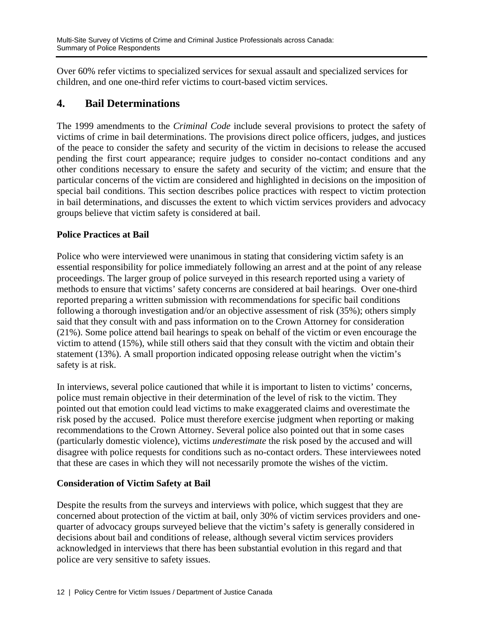Over 60% refer victims to specialized services for sexual assault and specialized services for children, and one one-third refer victims to court-based victim services.

## **4. Bail Determinations**

The 1999 amendments to the *Criminal Code* include several provisions to protect the safety of victims of crime in bail determinations. The provisions direct police officers, judges, and justices of the peace to consider the safety and security of the victim in decisions to release the accused pending the first court appearance; require judges to consider no-contact conditions and any other conditions necessary to ensure the safety and security of the victim; and ensure that the particular concerns of the victim are considered and highlighted in decisions on the imposition of special bail conditions. This section describes police practices with respect to victim protection in bail determinations, and discusses the extent to which victim services providers and advocacy groups believe that victim safety is considered at bail.

### **Police Practices at Bail**

Police who were interviewed were unanimous in stating that considering victim safety is an essential responsibility for police immediately following an arrest and at the point of any release proceedings. The larger group of police surveyed in this research reported using a variety of methods to ensure that victims' safety concerns are considered at bail hearings. Over one-third reported preparing a written submission with recommendations for specific bail conditions following a thorough investigation and/or an objective assessment of risk (35%); others simply said that they consult with and pass information on to the Crown Attorney for consideration (21%). Some police attend bail hearings to speak on behalf of the victim or even encourage the victim to attend (15%), while still others said that they consult with the victim and obtain their statement (13%). A small proportion indicated opposing release outright when the victim's safety is at risk.

In interviews, several police cautioned that while it is important to listen to victims' concerns, police must remain objective in their determination of the level of risk to the victim. They pointed out that emotion could lead victims to make exaggerated claims and overestimate the risk posed by the accused. Police must therefore exercise judgment when reporting or making recommendations to the Crown Attorney. Several police also pointed out that in some cases (particularly domestic violence), victims *underestimate* the risk posed by the accused and will disagree with police requests for conditions such as no-contact orders. These interviewees noted that these are cases in which they will not necessarily promote the wishes of the victim.

### **Consideration of Victim Safety at Bail**

Despite the results from the surveys and interviews with police, which suggest that they are concerned about protection of the victim at bail, only 30% of victim services providers and onequarter of advocacy groups surveyed believe that the victim's safety is generally considered in decisions about bail and conditions of release, although several victim services providers acknowledged in interviews that there has been substantial evolution in this regard and that police are very sensitive to safety issues.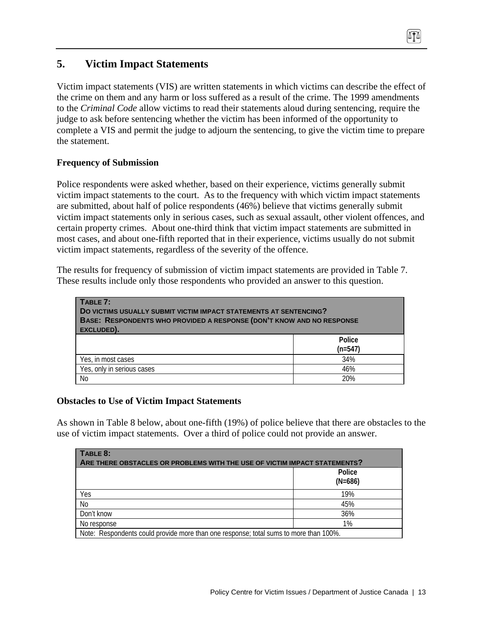## **5. Victim Impact Statements**

Victim impact statements (VIS) are written statements in which victims can describe the effect of the crime on them and any harm or loss suffered as a result of the crime. The 1999 amendments to the *Criminal Code* allow victims to read their statements aloud during sentencing, require the judge to ask before sentencing whether the victim has been informed of the opportunity to complete a VIS and permit the judge to adjourn the sentencing, to give the victim time to prepare the statement.

### **Frequency of Submission**

Police respondents were asked whether, based on their experience, victims generally submit victim impact statements to the court. As to the frequency with which victim impact statements are submitted, about half of police respondents (46%) believe that victims generally submit victim impact statements only in serious cases, such as sexual assault, other violent offences, and certain property crimes. About one-third think that victim impact statements are submitted in most cases, and about one-fifth reported that in their experience, victims usually do not submit victim impact statements, regardless of the severity of the offence.

The results for frequency of submission of victim impact statements are provided in Table 7. These results include only those respondents who provided an answer to this question.

| TABLE 7:<br><b>DO VICTIMS USUALLY SUBMIT VICTIM IMPACT STATEMENTS AT SENTENCING?</b><br><b>BASE: RESPONDENTS WHO PROVIDED A RESPONSE (DON'T KNOW AND NO RESPONSE</b><br>EXCLUDED). |                     |  |
|------------------------------------------------------------------------------------------------------------------------------------------------------------------------------------|---------------------|--|
|                                                                                                                                                                                    | Police<br>$(n=547)$ |  |
| Yes, in most cases                                                                                                                                                                 | 34%                 |  |
| Yes, only in serious cases                                                                                                                                                         | 46%                 |  |
| <b>No</b>                                                                                                                                                                          | 20%                 |  |

### **Obstacles to Use of Victim Impact Statements**

As shown in Table 8 below, about one-fifth (19%) of police believe that there are obstacles to the use of victim impact statements. Over a third of police could not provide an answer.

| TABLE 8:                                                                              |                     |  |
|---------------------------------------------------------------------------------------|---------------------|--|
| ARE THERE OBSTACLES OR PROBLEMS WITH THE USE OF VICTIM IMPACT STATEMENTS?             |                     |  |
|                                                                                       | Police<br>$(N=686)$ |  |
| Yes                                                                                   | 19%                 |  |
| N <sub>0</sub>                                                                        | 45%                 |  |
| Don't know                                                                            | 36%                 |  |
| No response                                                                           | 1%                  |  |
| Note: Respondents could provide more than one response; total sums to more than 100%. |                     |  |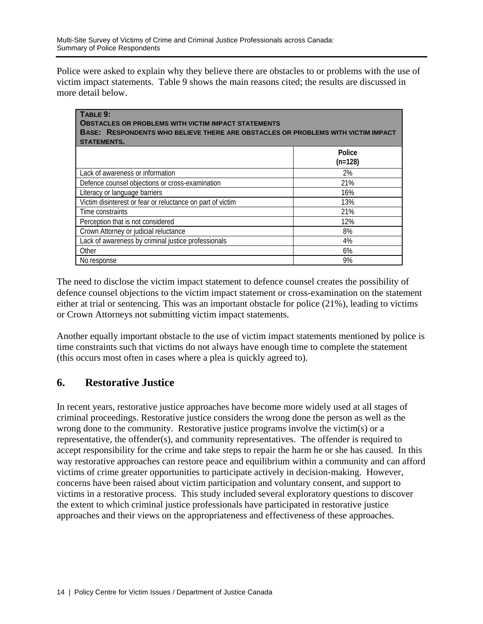Police were asked to explain why they believe there are obstacles to or problems with the use of victim impact statements. Table 9 shows the main reasons cited; the results are discussed in more detail below.

| TABLE 9:<br><b>OBSTACLES OR PROBLEMS WITH VICTIM IMPACT STATEMENTS</b><br>BASE: RESPONDENTS WHO BELIEVE THERE ARE OBSTACLES OR PROBLEMS WITH VICTIM IMPACT |                     |  |
|------------------------------------------------------------------------------------------------------------------------------------------------------------|---------------------|--|
| <b>STATEMENTS.</b>                                                                                                                                         |                     |  |
|                                                                                                                                                            | Police<br>$(n=128)$ |  |
| Lack of awareness or information                                                                                                                           | 2%                  |  |
| Defence counsel objections or cross-examination                                                                                                            | 21%                 |  |
| Literacy or language barriers                                                                                                                              | 16%                 |  |
| Victim disinterest or fear or reluctance on part of victim                                                                                                 | 13%                 |  |
| Time constraints                                                                                                                                           | 21%                 |  |
| Perception that is not considered                                                                                                                          | 12%                 |  |
| Crown Attorney or judicial reluctance                                                                                                                      | 8%                  |  |
| Lack of awareness by criminal justice professionals                                                                                                        | 4%                  |  |
| Other                                                                                                                                                      | 6%                  |  |
| No response                                                                                                                                                | 9%                  |  |

The need to disclose the victim impact statement to defence counsel creates the possibility of defence counsel objections to the victim impact statement or cross-examination on the statement either at trial or sentencing. This was an important obstacle for police (21%), leading to victims or Crown Attorneys not submitting victim impact statements.

Another equally important obstacle to the use of victim impact statements mentioned by police is time constraints such that victims do not always have enough time to complete the statement (this occurs most often in cases where a plea is quickly agreed to).

## **6. Restorative Justice**

In recent years, restorative justice approaches have become more widely used at all stages of criminal proceedings. Restorative justice considers the wrong done the person as well as the wrong done to the community. Restorative justice programs involve the victim(s) or a representative, the offender(s), and community representatives. The offender is required to accept responsibility for the crime and take steps to repair the harm he or she has caused. In this way restorative approaches can restore peace and equilibrium within a community and can afford victims of crime greater opportunities to participate actively in decision-making. However, concerns have been raised about victim participation and voluntary consent, and support to victims in a restorative process. This study included several exploratory questions to discover the extent to which criminal justice professionals have participated in restorative justice approaches and their views on the appropriateness and effectiveness of these approaches.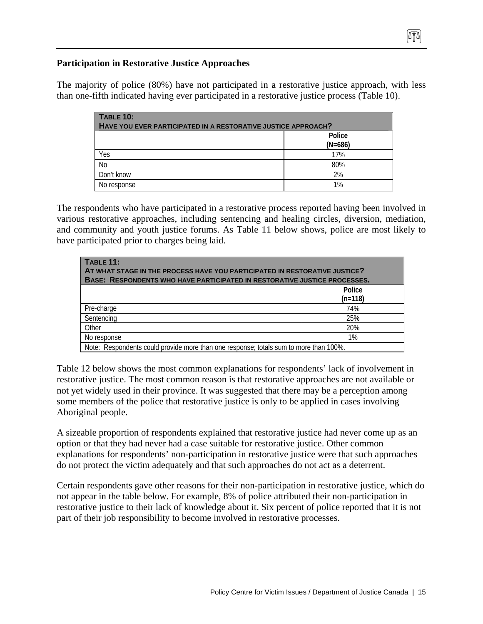### **Participation in Restorative Justice Approaches**

The majority of police (80%) have not participated in a restorative justice approach, with less than one-fifth indicated having ever participated in a restorative justice process (Table 10).

| <b>TABLE 10:</b><br>HAVE YOU EVER PARTICIPATED IN A RESTORATIVE JUSTICE APPROACH? |                     |  |
|-----------------------------------------------------------------------------------|---------------------|--|
|                                                                                   | Police<br>$(N=686)$ |  |
| Yes                                                                               | 17%                 |  |
| N <sub>o</sub>                                                                    | 80%                 |  |
| Don't know                                                                        | 2%                  |  |
| No response                                                                       | 1%                  |  |

The respondents who have participated in a restorative process reported having been involved in various restorative approaches, including sentencing and healing circles, diversion, mediation, and community and youth justice forums. As Table 11 below shows, police are most likely to have participated prior to charges being laid.

| <b>TABLE 11:</b><br>AT WHAT STAGE IN THE PROCESS HAVE YOU PARTICIPATED IN RESTORATIVE JUSTICE?<br><b>BASE: RESPONDENTS WHO HAVE PARTICIPATED IN RESTORATIVE JUSTICE PROCESSES.</b> |           |  |  |  |
|------------------------------------------------------------------------------------------------------------------------------------------------------------------------------------|-----------|--|--|--|
|                                                                                                                                                                                    | Police    |  |  |  |
|                                                                                                                                                                                    | $(n=118)$ |  |  |  |
| Pre-charge                                                                                                                                                                         | 74%       |  |  |  |
| Sentencing                                                                                                                                                                         | 25%       |  |  |  |
| Other                                                                                                                                                                              | 20%       |  |  |  |
| No response                                                                                                                                                                        | $1\%$     |  |  |  |
| Note: Respondents could provide more than one response; totals sum to more than 100%.                                                                                              |           |  |  |  |

Table 12 below shows the most common explanations for respondents' lack of involvement in restorative justice. The most common reason is that restorative approaches are not available or not yet widely used in their province. It was suggested that there may be a perception among some members of the police that restorative justice is only to be applied in cases involving Aboriginal people.

A sizeable proportion of respondents explained that restorative justice had never come up as an option or that they had never had a case suitable for restorative justice. Other common explanations for respondents' non-participation in restorative justice were that such approaches do not protect the victim adequately and that such approaches do not act as a deterrent.

Certain respondents gave other reasons for their non-participation in restorative justice, which do not appear in the table below. For example, 8% of police attributed their non-participation in restorative justice to their lack of knowledge about it. Six percent of police reported that it is not part of their job responsibility to become involved in restorative processes.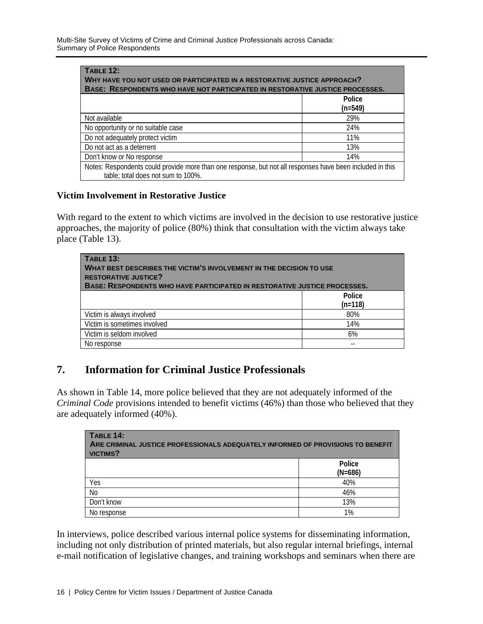| <b>TABLE 12:</b><br>WHY HAVE YOU NOT USED OR PARTICIPATED IN A RESTORATIVE JUSTICE APPROACH?<br><b>BASE: RESPONDENTS WHO HAVE NOT PARTICIPATED IN RESTORATIVE JUSTICE PROCESSES.</b> |                     |  |  |  |
|--------------------------------------------------------------------------------------------------------------------------------------------------------------------------------------|---------------------|--|--|--|
|                                                                                                                                                                                      | Police<br>$(n=549)$ |  |  |  |
| Not available                                                                                                                                                                        | 29%                 |  |  |  |
| No opportunity or no suitable case                                                                                                                                                   | 24%                 |  |  |  |
| Do not adequately protect victim                                                                                                                                                     | 11%                 |  |  |  |
| Do not act as a deterrent                                                                                                                                                            | 13%                 |  |  |  |
| Don't know or No response                                                                                                                                                            | 14%                 |  |  |  |
| Notes: Respondents could provide more than one response, but not all responses have been included in this<br>table; total does not sum to 100%.                                      |                     |  |  |  |

### **Victim Involvement in Restorative Justice**

With regard to the extent to which victims are involved in the decision to use restorative justice approaches, the majority of police (80%) think that consultation with the victim always take place (Table 13).

| <b>TABLE 13:</b><br>WHAT BEST DESCRIBES THE VICTIM'S INVOLVEMENT IN THE DECISION TO USE<br><b>RESTORATIVE JUSTICE?</b><br>BASE: RESPONDENTS WHO HAVE PARTICIPATED IN RESTORATIVE JUSTICE PROCESSES. |                     |  |  |  |  |
|-----------------------------------------------------------------------------------------------------------------------------------------------------------------------------------------------------|---------------------|--|--|--|--|
|                                                                                                                                                                                                     | Police<br>$(n=118)$ |  |  |  |  |
| Victim is always involved                                                                                                                                                                           | 80%                 |  |  |  |  |
| Victim is sometimes involved                                                                                                                                                                        | 14%                 |  |  |  |  |
| Victim is seldom involved                                                                                                                                                                           | 6%                  |  |  |  |  |
| No response                                                                                                                                                                                         |                     |  |  |  |  |

## **7. Information for Criminal Justice Professionals**

As shown in Table 14, more police believed that they are not adequately informed of the *Criminal Code* provisions intended to benefit victims (46%) than those who believed that they are adequately informed (40%).

| TABLE 14:<br>ARE CRIMINAL JUSTICE PROFESSIONALS ADEQUATELY INFORMED OF PROVISIONS TO BENEFIT<br><b>VICTIMS?</b> |                     |  |  |  |
|-----------------------------------------------------------------------------------------------------------------|---------------------|--|--|--|
|                                                                                                                 | Police<br>$(N=686)$ |  |  |  |
| Yes                                                                                                             | 40%                 |  |  |  |
| No                                                                                                              | 46%                 |  |  |  |
| Don't know                                                                                                      | 13%                 |  |  |  |
| No response                                                                                                     | 1%                  |  |  |  |

In interviews, police described various internal police systems for disseminating information, including not only distribution of printed materials, but also regular internal briefings, internal e-mail notification of legislative changes, and training workshops and seminars when there are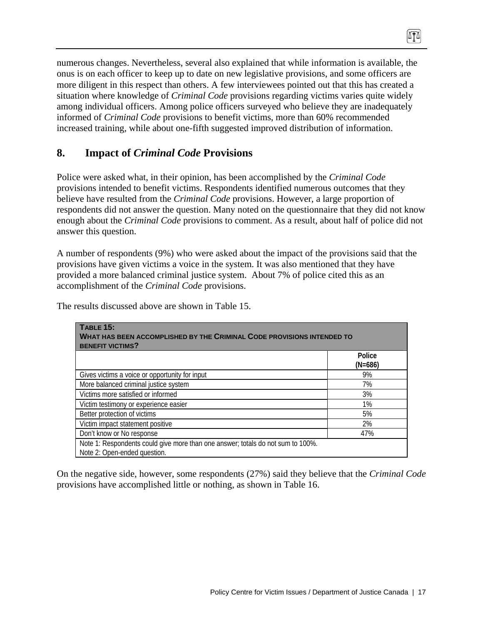numerous changes. Nevertheless, several also explained that while information is available, the onus is on each officer to keep up to date on new legislative provisions, and some officers are more diligent in this respect than others. A few interviewees pointed out that this has created a situation where knowledge of *Criminal Code* provisions regarding victims varies quite widely among individual officers. Among police officers surveyed who believe they are inadequately informed of *Criminal Code* provisions to benefit victims, more than 60% recommended increased training, while about one-fifth suggested improved distribution of information.

## **8. Impact of** *Criminal Code* **Provisions**

Police were asked what, in their opinion, has been accomplished by the *Criminal Code*  provisions intended to benefit victims. Respondents identified numerous outcomes that they believe have resulted from the *Criminal Code* provisions. However, a large proportion of respondents did not answer the question. Many noted on the questionnaire that they did not know enough about the *Criminal Code* provisions to comment. As a result, about half of police did not answer this question.

A number of respondents (9%) who were asked about the impact of the provisions said that the provisions have given victims a voice in the system. It was also mentioned that they have provided a more balanced criminal justice system. About 7% of police cited this as an accomplishment of the *Criminal Code* provisions.

| TABLE 15:<br><b>WHAT HAS BEEN ACCOMPLISHED BY THE CRIMINAL CODE PROVISIONS INTENDED TO</b><br><b>BENEFIT VICTIMS?</b> |                     |  |  |  |
|-----------------------------------------------------------------------------------------------------------------------|---------------------|--|--|--|
|                                                                                                                       | Police<br>$(N=686)$ |  |  |  |
| Gives victims a voice or opportunity for input                                                                        | 9%                  |  |  |  |
| More balanced criminal justice system                                                                                 | 7%                  |  |  |  |
|                                                                                                                       |                     |  |  |  |
| Victims more satisfied or informed                                                                                    | 3%                  |  |  |  |
| Victim testimony or experience easier                                                                                 | 1%                  |  |  |  |
| Better protection of victims                                                                                          | 5%                  |  |  |  |
| Victim impact statement positive                                                                                      | 2%                  |  |  |  |
| Don't know or No response                                                                                             | 47%                 |  |  |  |
| Note 1: Respondents could give more than one answer; totals do not sum to 100%.<br>Note 2: Open-ended question.       |                     |  |  |  |

The results discussed above are shown in Table 15.

On the negative side, however, some respondents (27%) said they believe that the *Criminal Code* provisions have accomplished little or nothing, as shown in Table 16.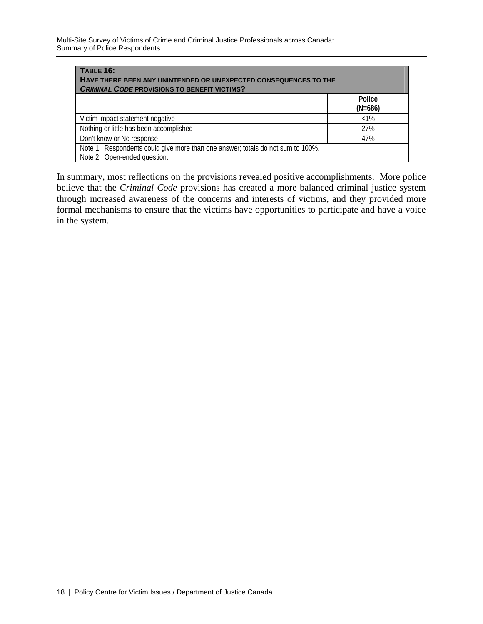Multi-Site Survey of Victims of Crime and Criminal Justice Professionals across Canada: Summary of Police Respondents

| TABLE 16:<br>HAVE THERE BEEN ANY UNINTENDED OR UNEXPECTED CONSEQUENCES TO THE<br><b>CRIMINAL CODE PROVISIONS TO BENEFIT VICTIMS?</b> |                     |  |  |  |
|--------------------------------------------------------------------------------------------------------------------------------------|---------------------|--|--|--|
|                                                                                                                                      | Police<br>$(N=686)$ |  |  |  |
| Victim impact statement negative                                                                                                     | $<1\%$              |  |  |  |
| Nothing or little has been accomplished                                                                                              | 27%                 |  |  |  |
| Don't know or No response                                                                                                            | 47%                 |  |  |  |
| Note 1: Respondents could give more than one answer; totals do not sum to 100%.<br>Note 2: Open-ended question.                      |                     |  |  |  |

In summary, most reflections on the provisions revealed positive accomplishments. More police believe that the *Criminal Code* provisions has created a more balanced criminal justice system through increased awareness of the concerns and interests of victims, and they provided more formal mechanisms to ensure that the victims have opportunities to participate and have a voice in the system.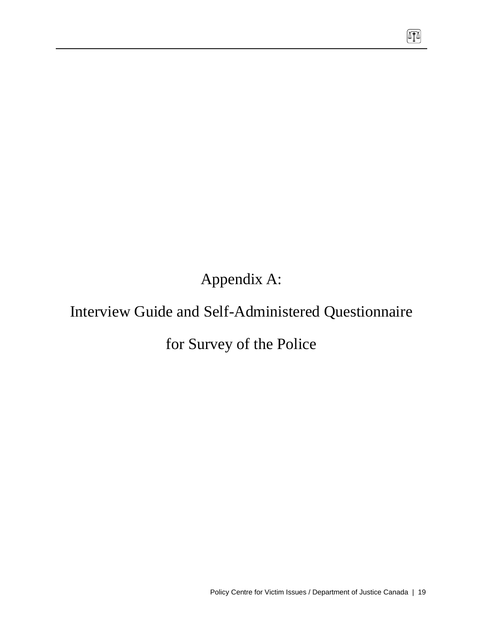Appendix A:

# Interview Guide and Self-Administered Questionnaire

# for Survey of the Police

 $\sqrt{10}$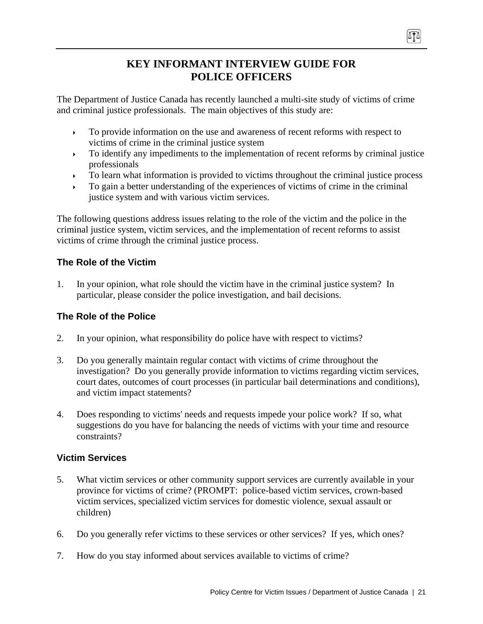## **KEY INFORMANT INTERVIEW GUIDE FOR POLICE OFFICERS**

The Department of Justice Canada has recently launched a multi-site study of victims of crime and criminal justice professionals. The main objectives of this study are:

- $\rightarrow$  To provide information on the use and awareness of recent reforms with respect to victims of crime in the criminal justice system
- $\rightarrow$  To identify any impediments to the implementation of recent reforms by criminal justice professionals
- To learn what information is provided to victims throughout the criminal justice process
- To gain a better understanding of the experiences of victims of crime in the criminal justice system and with various victim services.

The following questions address issues relating to the role of the victim and the police in the criminal justice system, victim services, and the implementation of recent reforms to assist victims of crime through the criminal justice process.

## **The Role of the Victim**

1. In your opinion, what role should the victim have in the criminal justice system? In particular, please consider the police investigation, and bail decisions.

## **The Role of the Police**

- 2. In your opinion, what responsibility do police have with respect to victims?
- 3. Do you generally maintain regular contact with victims of crime throughout the investigation? Do you generally provide information to victims regarding victim services, court dates, outcomes of court processes (in particular bail determinations and conditions), and victim impact statements?
- 4. Does responding to victims' needs and requests impede your police work? If so, what suggestions do you have for balancing the needs of victims with your time and resource constraints?

## **Victim Services**

- 5. What victim services or other community support services are currently available in your province for victims of crime? (PROMPT: police-based victim services, crown-based victim services, specialized victim services for domestic violence, sexual assault or children)
- 6. Do you generally refer victims to these services or other services? If yes, which ones?
- 7. How do you stay informed about services available to victims of crime?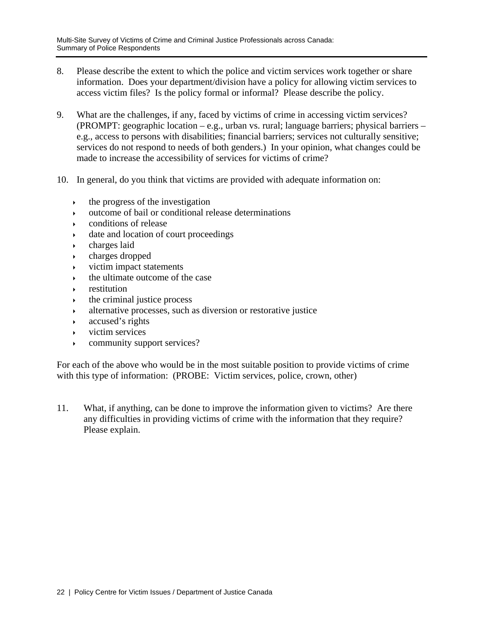- 8. Please describe the extent to which the police and victim services work together or share information. Does your department/division have a policy for allowing victim services to access victim files? Is the policy formal or informal? Please describe the policy.
- 9. What are the challenges, if any, faced by victims of crime in accessing victim services? (PROMPT: geographic location – e.g., urban vs. rural; language barriers; physical barriers – e.g., access to persons with disabilities; financial barriers; services not culturally sensitive; services do not respond to needs of both genders.) In your opinion, what changes could be made to increase the accessibility of services for victims of crime?
- 10. In general, do you think that victims are provided with adequate information on:
	- $\cdot$  the progress of the investigation
	- $\rightarrow$  outcome of bail or conditional release determinations
	- conditions of release
	- date and location of court proceedings
	- charges laid
	- charges dropped
	- $\rightarrow$  victim impact statements
	- $\cdot$  the ultimate outcome of the case
	- restitution
	- the criminal justice process
	- alternative processes, such as diversion or restorative justice
	- accused's rights
	- victim services
	- community support services?

For each of the above who would be in the most suitable position to provide victims of crime with this type of information: (PROBE: Victim services, police, crown, other)

11. What, if anything, can be done to improve the information given to victims? Are there any difficulties in providing victims of crime with the information that they require? Please explain.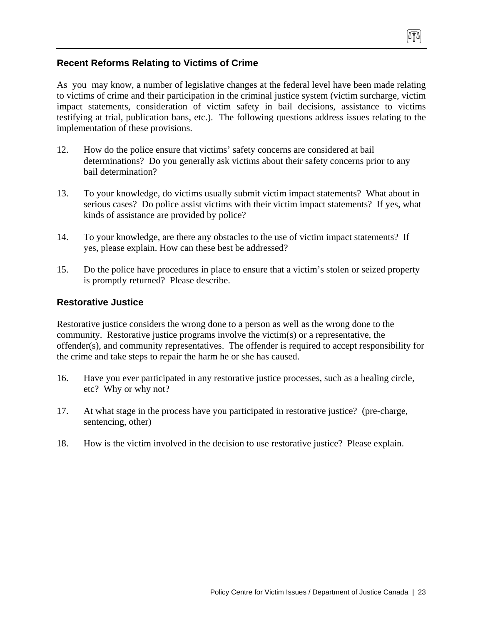### **Recent Reforms Relating to Victims of Crime**

As you may know, a number of legislative changes at the federal level have been made relating to victims of crime and their participation in the criminal justice system (victim surcharge, victim impact statements, consideration of victim safety in bail decisions, assistance to victims testifying at trial, publication bans, etc.). The following questions address issues relating to the implementation of these provisions.

- 12. How do the police ensure that victims' safety concerns are considered at bail determinations? Do you generally ask victims about their safety concerns prior to any bail determination?
- 13. To your knowledge, do victims usually submit victim impact statements? What about in serious cases? Do police assist victims with their victim impact statements? If yes, what kinds of assistance are provided by police?
- 14. To your knowledge, are there any obstacles to the use of victim impact statements? If yes, please explain. How can these best be addressed?
- 15. Do the police have procedures in place to ensure that a victim's stolen or seized property is promptly returned? Please describe.

### **Restorative Justice**

Restorative justice considers the wrong done to a person as well as the wrong done to the community. Restorative justice programs involve the victim(s) or a representative, the offender(s), and community representatives. The offender is required to accept responsibility for the crime and take steps to repair the harm he or she has caused.

- 16. Have you ever participated in any restorative justice processes, such as a healing circle, etc? Why or why not?
- 17. At what stage in the process have you participated in restorative justice? (pre-charge, sentencing, other)
- 18. How is the victim involved in the decision to use restorative justice? Please explain.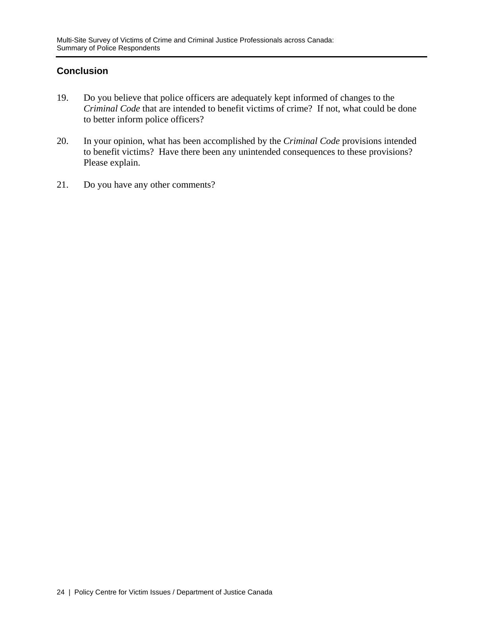## **Conclusion**

- 19. Do you believe that police officers are adequately kept informed of changes to the *Criminal Code* that are intended to benefit victims of crime? If not, what could be done to better inform police officers?
- 20. In your opinion, what has been accomplished by the *Criminal Code* provisions intended to benefit victims? Have there been any unintended consequences to these provisions? Please explain.
- 21. Do you have any other comments?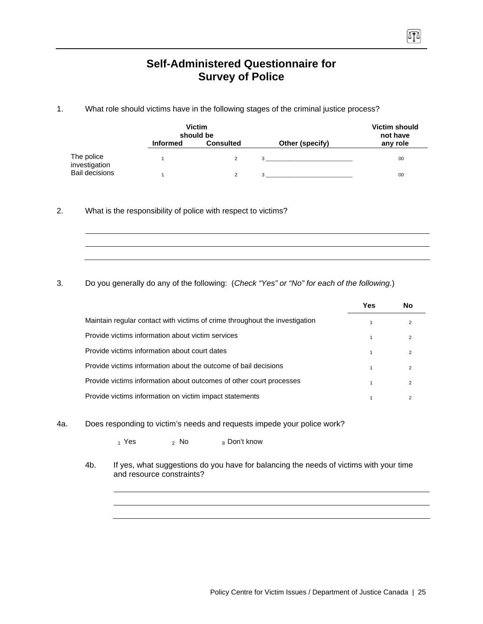## **Self-Administered Questionnaire for Survey of Police**

1. What role should victims have in the following stages of the criminal justice process?

| <b>Victim</b><br>should be  |                 |                  |                 | <b>Victim should</b><br>not have |  |
|-----------------------------|-----------------|------------------|-----------------|----------------------------------|--|
|                             | <b>Informed</b> | <b>Consulted</b> | Other (specify) | any role                         |  |
| The police<br>investigation |                 |                  | 3               | 00                               |  |
| <b>Bail decisions</b>       |                 |                  | 3               | 00                               |  |

2. What is the responsibility of police with respect to victims?

3. Do you generally do any of the following: (*Check "Yes" or "No" for each of the following.*)

|                                                                             | Yes | No            |
|-----------------------------------------------------------------------------|-----|---------------|
| Maintain regular contact with victims of crime throughout the investigation |     |               |
| Provide victims information about victim services                           |     | 2             |
| Provide victims information about court dates                               |     | 2             |
| Provide victims information about the outcome of bail decisions             |     | 2             |
| Provide victims information about outcomes of other court processes         |     | $\mathcal{P}$ |
| Provide victims information on victim impact statements                     |     |               |

4a. Does responding to victim's needs and requests impede your police work?

 $_1$  Yes  $_2$  No  $_8$  Don't know

4b. If yes, what suggestions do you have for balancing the needs of victims with your time and resource constraints?

0TA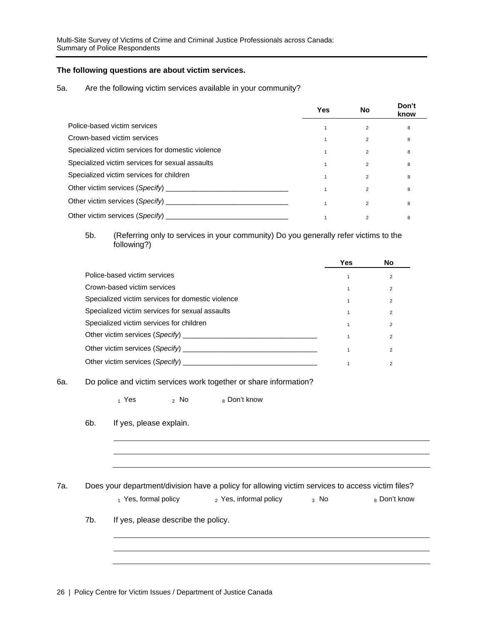### **The following questions are about victim services.**

#### 5a. Are the following victim services available in your community?

|                                                   | <b>Yes</b> | No             | Don't<br>know |
|---------------------------------------------------|------------|----------------|---------------|
| Police-based victim services                      |            | $\overline{2}$ | 8             |
| Crown-based victim services                       |            | $\overline{2}$ | 8             |
| Specialized victim services for domestic violence |            | $\overline{2}$ | 8             |
| Specialized victim services for sexual assaults   |            | $\overline{2}$ | 8             |
| Specialized victim services for children          |            | $\overline{2}$ | 8             |
|                                                   |            | 2              | 8             |
| Other victim services (Specify) __________        |            | $\overline{2}$ | 8             |
| Other victim services (Specify)                   |            | 2              | 8             |

### 5b. (Referring only to services in your community) Do you generally refer victims to the following?)

|                                                                                          | Yes | No             |
|------------------------------------------------------------------------------------------|-----|----------------|
| Police-based victim services                                                             |     | $\overline{2}$ |
| Crown-based victim services                                                              |     | $\overline{2}$ |
| Specialized victim services for domestic violence                                        |     | $\overline{2}$ |
| Specialized victim services for sexual assaults                                          |     | $\overline{2}$ |
| Specialized victim services for children                                                 |     | $\overline{2}$ |
| Other victim services (Specify)                                                          |     | 2              |
| Other victim services (Specify) <b>Example 20</b> No. 2014 19:30 No. 2014 19:30 No. 2014 |     | $\mathfrak{p}$ |
|                                                                                          |     | $\overline{2}$ |

#### 6a. Do police and victim services work together or share information?

 $_1$  Yes  $_2$  No  $_8$  Don't know

6b. If yes, please explain.

7a. Does your department/division have a policy for allowing victim services to access victim files?

 $_1$  Yes, formal policy  $_2$  Yes, informal policy  $_3$  No  $_8$  Don't know

7b. If yes, please describe the policy.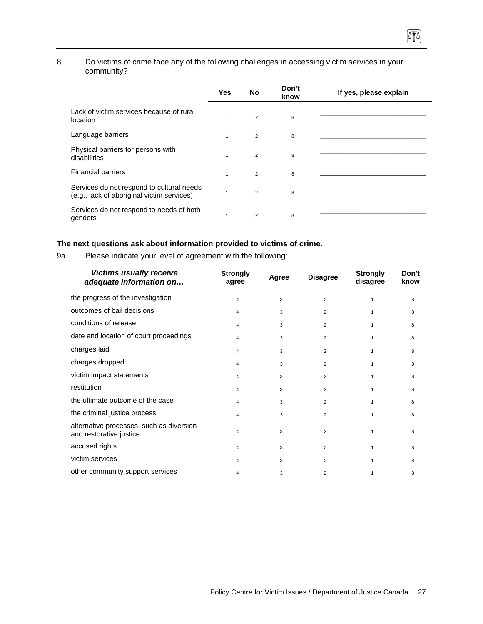### 8. Do victims of crime face any of the following challenges in accessing victim services in your community?

 $\sqrt{10}$ 

|                                                                                         | Yes          | No             | Don't<br>know | If yes, please explain |
|-----------------------------------------------------------------------------------------|--------------|----------------|---------------|------------------------|
| Lack of victim services because of rural<br>location                                    | 1            | $\overline{2}$ | 8             |                        |
| Language barriers                                                                       | $\mathbf{1}$ | $\overline{2}$ | 8             |                        |
| Physical barriers for persons with<br>disabilities                                      | $\mathbf{1}$ | $\overline{2}$ | 8             |                        |
| <b>Financial barriers</b>                                                               | $\mathbf{1}$ | $\overline{2}$ | 8             |                        |
| Services do not respond to cultural needs<br>(e.g., lack of aboriginal victim services) |              | $\overline{2}$ | 8             |                        |
| Services do not respond to needs of both<br>genders                                     | 1            | 2              | 8             |                        |

### **The next questions ask about information provided to victims of crime.**

9a. Please indicate your level of agreement with the following:

| <b>Victims usually receive</b><br>adequate information on           | <b>Strongly</b><br>agree | Agree | <b>Disagree</b> | <b>Strongly</b><br>disagree | Don't<br>know |
|---------------------------------------------------------------------|--------------------------|-------|-----------------|-----------------------------|---------------|
| the progress of the investigation                                   | 4                        | 3     | $\overline{2}$  |                             | 8             |
| outcomes of bail decisions                                          | 4                        | 3     | $\overline{2}$  | 1                           | 8             |
| conditions of release                                               | 4                        | 3     | $\overline{2}$  |                             | 8             |
| date and location of court proceedings                              | 4                        | 3     | $\overline{2}$  | 1                           | 8             |
| charges laid                                                        | 4                        | 3     | $\overline{2}$  | 1                           | 8             |
| charges dropped                                                     | 4                        | 3     | $\overline{2}$  |                             | 8             |
| victim impact statements                                            | 4                        | 3     | $\overline{2}$  | 1                           | 8             |
| restitution                                                         | 4                        | 3     | $\overline{2}$  |                             | 8             |
| the ultimate outcome of the case                                    | 4                        | 3     | $\overline{2}$  | 1                           | 8             |
| the criminal justice process                                        | 4                        | 3     | $\overline{2}$  |                             | 8             |
| alternative processes, such as diversion<br>and restorative justice | 4                        | 3     | $\overline{2}$  | 1                           | 8             |
| accused rights                                                      | 4                        | 3     | $\overline{2}$  | 1                           | 8             |
| victim services                                                     | 4                        | 3     | $\overline{2}$  | 1                           | 8             |
| other community support services                                    | 4                        | 3     | $\overline{2}$  |                             | 8             |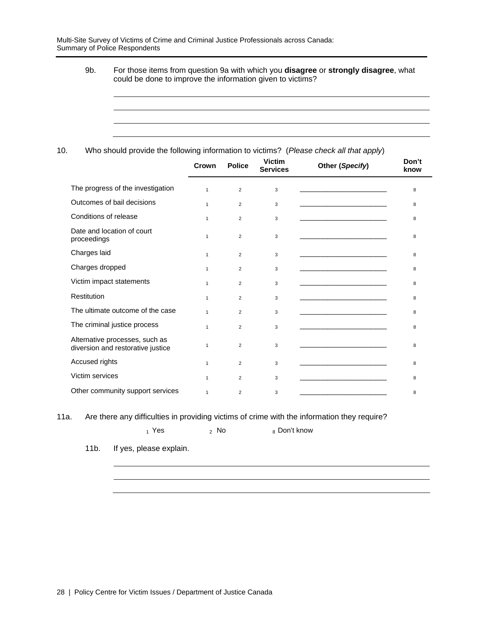Multi-Site Survey of Victims of Crime and Criminal Justice Professionals across Canada: Summary of Police Respondents

> 9b. For those items from question 9a with which you **disagree** or **strongly disagree**, what could be done to improve the information given to victims?

### 10. Who should provide the following information to victims? (*Please check all that apply*)

|                                                                     | Crown        | <b>Police</b>  | <b>Victim</b><br><b>Services</b> | Other (Specify)                                                                                                        | Don't<br>know |
|---------------------------------------------------------------------|--------------|----------------|----------------------------------|------------------------------------------------------------------------------------------------------------------------|---------------|
| The progress of the investigation                                   | $\mathbf{1}$ | $\overline{2}$ | 3                                | <u> 1980 - Jan James James Barnett, martin eta idazlea (h. 1980).</u>                                                  | 8             |
| Outcomes of bail decisions                                          | $\mathbf{1}$ | $\overline{2}$ | 3                                | <u> 2000 - Jan James James Jan James James James James James James James James James James James James James Jam</u>   | 8             |
| Conditions of release                                               | $\mathbf{1}$ | $\overline{2}$ | 3                                |                                                                                                                        | 8             |
| Date and location of court<br>proceedings                           | $\mathbf{1}$ | $\overline{2}$ | 3                                | the control of the control of the control of the control of the control of the control of                              | 8             |
| Charges laid                                                        | $\mathbf{1}$ | $\overline{2}$ | 3                                | <u> 1989 - Johann Stein, markin film fan it ferstjer fan de ferstjer fan it ferstjer fan it ferstjer fan it fers</u>   | 8             |
| Charges dropped                                                     | $\mathbf{1}$ | $\overline{2}$ | 3                                | <u> 1989 - Johann Stein, mars et al. 1989 - Anna ann an t-Anna ann an t-Anna ann an t-Anna ann an t-Anna ann an t-</u> | 8             |
| Victim impact statements                                            | $\mathbf{1}$ | $\overline{2}$ | 3                                | <u> 1989 - Johann Stein, marwolaethau a bhann an t-Albann an t-Albann an t-Albann an t-Albann an t-Albann an t-Alb</u> | 8             |
| <b>Restitution</b>                                                  | $\mathbf{1}$ | $\overline{2}$ | 3                                |                                                                                                                        | 8             |
| The ultimate outcome of the case                                    | $\mathbf{1}$ | $\overline{2}$ | 3                                |                                                                                                                        | 8             |
| The criminal justice process                                        | $\mathbf{1}$ | $\overline{2}$ | 3                                | <u> 1989 - Johann John Stein, markin fan it ferstjer fan it ferstjer fan it ferstjer fan it ferstjer fan it fers</u>   | 8             |
| Alternative processes, such as<br>diversion and restorative justice | $\mathbf{1}$ | $\overline{2}$ | 3                                |                                                                                                                        | 8             |
| Accused rights                                                      | $\mathbf{1}$ | $\overline{2}$ | 3                                | the control of the control of the control of the control of the control of the control of                              | 8             |
| Victim services                                                     | $\mathbf{1}$ | $\overline{2}$ | 3                                |                                                                                                                        | 8             |
| Other community support services                                    | $\mathbf{1}$ | $\overline{2}$ | 3                                |                                                                                                                        | 8             |

11a. Are there any difficulties in providing victims of crime with the information they require?

 $1$  Yes  $2$  No  $8$  Don't know

11b. If yes, please explain.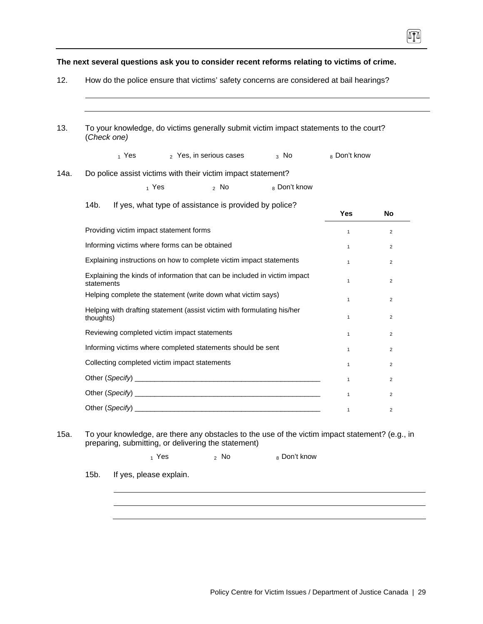| To your knowledge, do victims generally submit victim impact statements to the court?<br>(Check one) |                                                                                         |              |                                                                                                                                                                  |              |              |                         |  |  |
|------------------------------------------------------------------------------------------------------|-----------------------------------------------------------------------------------------|--------------|------------------------------------------------------------------------------------------------------------------------------------------------------------------|--------------|--------------|-------------------------|--|--|
|                                                                                                      | 1 Yes                                                                                   |              | 2 Yes, in serious cases                                                                                                                                          | $3$ No       | 8 Don't know |                         |  |  |
|                                                                                                      |                                                                                         |              | Do police assist victims with their victim impact statement?                                                                                                     |              |              |                         |  |  |
|                                                                                                      |                                                                                         | $_1$ Yes     | $2$ No                                                                                                                                                           | 8 Don't know |              |                         |  |  |
| 14b.                                                                                                 |                                                                                         |              | If yes, what type of assistance is provided by police?                                                                                                           |              | Yes          | <b>No</b>               |  |  |
|                                                                                                      | Providing victim impact statement forms                                                 |              |                                                                                                                                                                  |              | $\mathbf{1}$ | $\overline{2}$          |  |  |
| Informing victims where forms can be obtained                                                        |                                                                                         |              |                                                                                                                                                                  |              | $\mathbf{1}$ | $\overline{2}$          |  |  |
| Explaining instructions on how to complete victim impact statements                                  |                                                                                         |              |                                                                                                                                                                  |              | $\mathbf{1}$ | $\overline{2}$          |  |  |
|                                                                                                      | Explaining the kinds of information that can be included in victim impact<br>statements |              |                                                                                                                                                                  |              |              | $\overline{2}$          |  |  |
|                                                                                                      | Helping complete the statement (write down what victim says)                            | $\mathbf{1}$ | $\overline{2}$                                                                                                                                                   |              |              |                         |  |  |
| thoughts)                                                                                            | Helping with drafting statement (assist victim with formulating his/her                 | $\mathbf{1}$ | $\overline{2}$                                                                                                                                                   |              |              |                         |  |  |
|                                                                                                      | Reviewing completed victim impact statements                                            | $\mathbf{1}$ | $\overline{2}$                                                                                                                                                   |              |              |                         |  |  |
|                                                                                                      | Informing victims where completed statements should be sent                             | $\mathbf{1}$ | $\overline{2}$                                                                                                                                                   |              |              |                         |  |  |
|                                                                                                      | Collecting completed victim impact statements                                           | $\mathbf{1}$ | $\overline{2}$                                                                                                                                                   |              |              |                         |  |  |
|                                                                                                      |                                                                                         |              |                                                                                                                                                                  |              | $\mathbf{1}$ | $\overline{2}$          |  |  |
|                                                                                                      |                                                                                         | $\mathbf{1}$ | $\overline{c}$                                                                                                                                                   |              |              |                         |  |  |
| Other (Specify)                                                                                      |                                                                                         |              |                                                                                                                                                                  |              | $\mathbf{1}$ | $\overline{\mathbf{c}}$ |  |  |
|                                                                                                      |                                                                                         | $_1$ Yes     | To your knowledge, are there any obstacles to the use of the victim impact statement? (e.g., in<br>preparing, submitting, or delivering the statement)<br>$2$ No | 8 Don't know |              |                         |  |  |
| $15b$ .                                                                                              | If yes, please explain.                                                                 |              |                                                                                                                                                                  |              |              |                         |  |  |

硒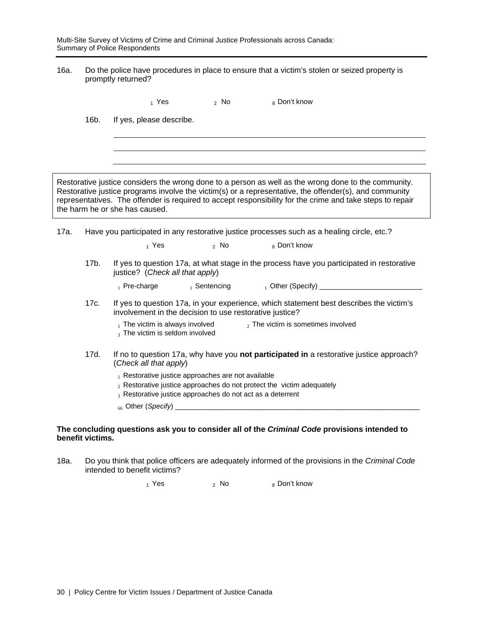Multi-Site Survey of Victims of Crime and Criminal Justice Professionals across Canada: Summary of Police Respondents

16a. Do the police have procedures in place to ensure that a victim's stolen or seized property is promptly returned?

 $_1$  Yes  $_2$  No  $_8$  Don't know 16b. If yes, please describe. Restorative justice considers the wrong done to a person as well as the wrong done to the community. Restorative justice programs involve the victim(s) or a representative, the offender(s), and community representatives. The offender is required to accept responsibility for the crime and take steps to repair the harm he or she has caused. 17a. Have you participated in any restorative justice processes such as a healing circle, etc.?  $_1$  Yes  $_2$  No  $_8$  Don't know 17b. If yes to question 17a, at what stage in the process have you participated in restorative justice? (*Check all that apply*) 1 Pre-charge 1 Sentencing 1 Other (Specify) 1 Other (Specify) 1 Pre-charge 1 Other (Specify) 17c. If yes to question 17a, in your experience, which statement best describes the victim's involvement in the decision to use restorative justice?  $_1$  The victim is always involved  $_2$  The victim is sometimes involved 3 The victim is seldom involved 17d. If no to question 17a, why have you **not participated in** a restorative justice approach? (*Check all that apply*) 1 Restorative justice approaches are not available  $2$  Restorative justice approaches do not protect the victim adequately  $_3$  Restorative justice approaches do not act as a deterrent <sub>66</sub> Other (*Specify*) \_ **The concluding questions ask you to consider all of the** *Criminal Code* **provisions intended to benefit victims.** 

18a. Do you think that police officers are adequately informed of the provisions in the *Criminal Code* intended to benefit victims?

 $_1$  Yes  $_2$  No  $_8$  Don't know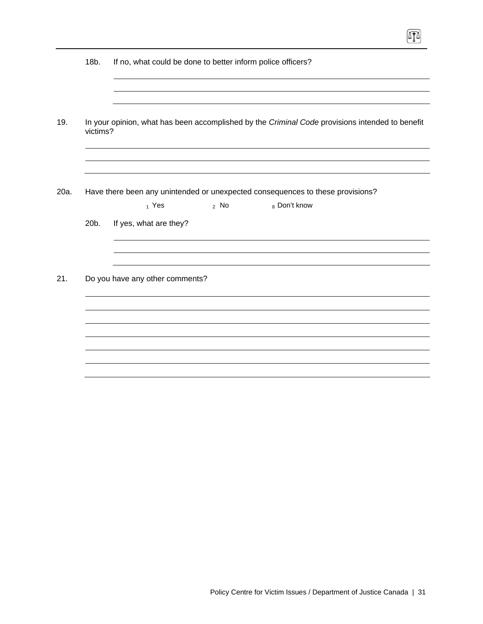|      | 18b.     | If no, what could be done to better inform police officers?                                     |  |  |  |  |  |  |
|------|----------|-------------------------------------------------------------------------------------------------|--|--|--|--|--|--|
|      |          |                                                                                                 |  |  |  |  |  |  |
| 19.  | victims? | In your opinion, what has been accomplished by the Criminal Code provisions intended to benefit |  |  |  |  |  |  |
|      |          |                                                                                                 |  |  |  |  |  |  |
| 20a. |          | Have there been any unintended or unexpected consequences to these provisions?                  |  |  |  |  |  |  |
|      | 20b.     | $_1$ Yes<br>$2$ No<br>8 Don't know<br>If yes, what are they?                                    |  |  |  |  |  |  |
|      |          |                                                                                                 |  |  |  |  |  |  |
| 21.  |          | Do you have any other comments?                                                                 |  |  |  |  |  |  |
|      |          |                                                                                                 |  |  |  |  |  |  |
|      |          |                                                                                                 |  |  |  |  |  |  |
|      |          |                                                                                                 |  |  |  |  |  |  |

 $\boxed{1}$